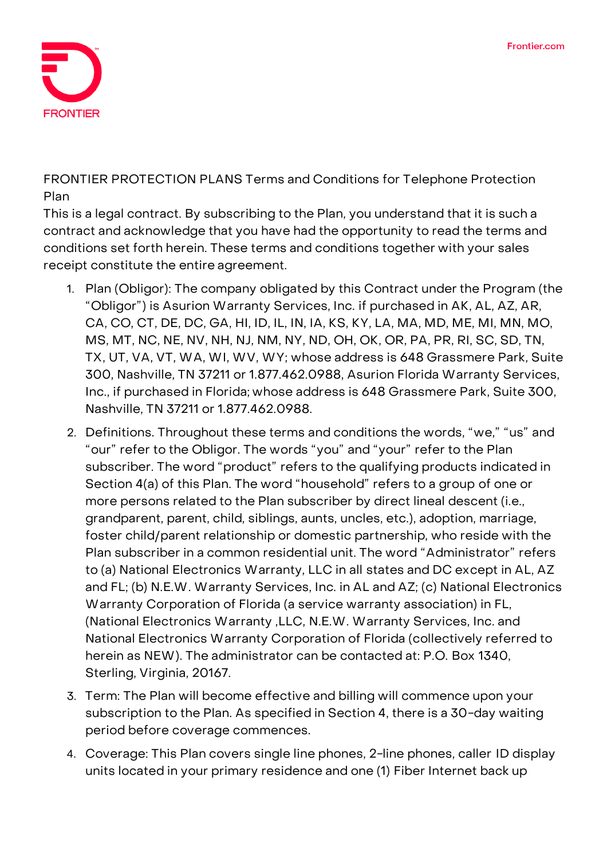

**FRONTIER PROTECTION PLANS Terms and Conditions for Telephone Protection Plan**

This is a legal contract. By subscribing to the Plan, you understand that it is such a contract and acknowledge that you have had the opportunity to read the terms and conditions set forth herein. These terms and conditions together with your sales receipt constitute the entire agreement.

- 1. **Plan (Obligor):** The company obligated by this Contract under the Program (the "Obligor") is Asurion Warranty Services, Inc. if purchased in AK, AL, AZ, AR, CA, CO, CT, DE, DC, GA, HI, ID, IL, IN, IA, KS, KY, LA, MA, MD, ME, MI, MN, MO, MS, MT, NC, NE, NV, NH, NJ, NM, NY, ND, OH, OK, OR, PA, PR, RI, SC, SD, TN, TX, UT, VA, VT, WA, WI, WV, WY; whose address is 648 Grassmere Park, Suite 300, Nashville, TN 37211 or 1.877.462.0988, Asurion Florida Warranty Services, Inc., if purchased in Florida; whose address is 648 Grassmere Park, Suite 300, Nashville, TN 37211 or 1.877.462.0988.
- 2. **Definitions.** Throughout these terms and conditions the words, "we," "us" and "our" refer to the Obligor. The words "you" and "your" refer to the Plan subscriber. The word "product" refers to the qualifying products indicated in Section 4(a) of this Plan. The word "household" refers to a group of one or more persons related to the Plan subscriber by direct lineal descent (i.e., grandparent, parent, child, siblings, aunts, uncles, etc.), adoption, marriage, foster child/parent relationship or domestic partnership, who reside with the Plan subscriber in a common residential unit. The word "Administrator" refers to (a) National Electronics Warranty, LLC in all states and DC except in AL, AZ and FL; (b) N.E.W. Warranty Services, Inc. in AL and AZ; (c) National Electronics Warranty Corporation of Florida (a service warranty association) in FL, (National Electronics Warranty ,LLC, N.E.W. Warranty Services, Inc. and National Electronics Warranty Corporation of Florida (collectively referred to herein as NEW). The administrator can be contacted at: P.O. Box 1340, Sterling, Virginia, 20167.
- 3. **Term:** The Plan will become effective and billing will commence upon your subscription to the Plan. As specified in Section 4, there is a 30-day waiting period before coverage commences.
- 4. **Coverage:** This Plan covers single line phones, 2-line phones, caller ID display units located in your primary residence and one (1) Fiber Internet back up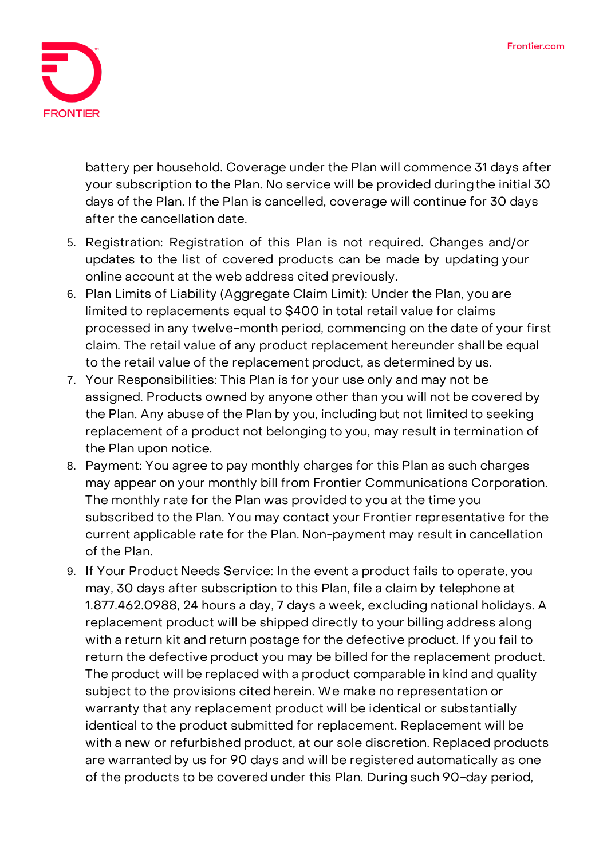

battery per household. **Coverage under the Plan will commence 31 days after your subscription to the Plan. No service will be provided duringthe initial 30 days of the Plan. If the Plan is cancelled, coverage will continue for 30 days after the cancellation date.**

- 5. **Registration:** Registration of this Plan is not required. Changes and/or updates to the list of covered products can be made by updating your online account at the web address cited previously.
- 6. **Plan Limits of Liability (Aggregate Claim Limit):** Under the Plan, you are limited to replacements equal to \$400 in total retail value for claims processed in any twelve-month period, commencing on the date of your first claim. The retail value of any product replacement hereunder shall be equal to the retail value of the replacement product, as determined by us.
- 7. **Your Responsibilities:** This Plan is for your use only and may not be assigned. Products owned by anyone other than you will not be covered by the Plan. Any abuse of the Plan by you, including but not limited to seeking replacement of a product not belonging to you, may result in termination of the Plan upon notice.
- 8. **Payment:** You agree to pay monthly charges for this Plan as such charges may appear on your monthly bill from Frontier Communications Corporation. The monthly rate for the Plan was provided to you at the time you subscribed to the Plan. You may contact your Frontier representative for the current applicable rate for the Plan. Non-payment may result in cancellation of the Plan.
- 9. **If Your Product Needs Service:** In the event a product fails to operate, you may, 30 days after subscription to this Plan, file a claim by telephone at 1.877.462.0988, 24 hours a day, 7 days a week, excluding national holidays. A replacement product will be shipped directly to your billing address along with a return kit and return postage for the defective product. If you fail to return the defective product you may be billed for the replacement product. The product will be replaced with a product comparable in kind and quality subject to the provisions cited herein. We make no representation or warranty that any replacement product will be identical or substantially identical to the product submitted for replacement. Replacement will be with a new or refurbished product, at our sole discretion. Replaced products are warranted by us for 90 days and will be registered automatically as one of the products to be covered under this Plan. During such 90-day period,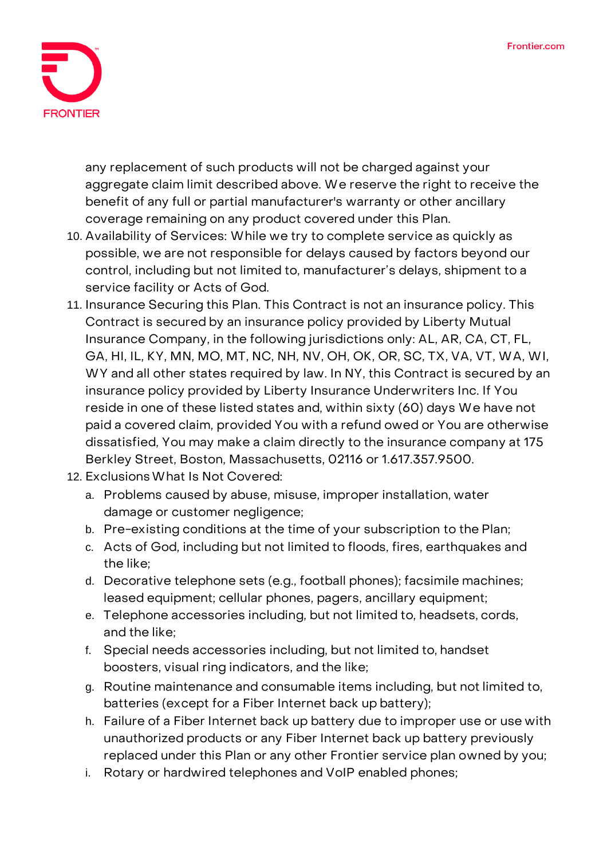

any replacement of such products will not be charged against your aggregate claim limit described above. We reserve the right to receive the benefit of any full or partial manufacturer's warranty or other ancillary coverage remaining on any product covered under this Plan.

- 10. **Availability of Services:** While we try to complete service as quickly as possible, we are not responsible for delays caused by factors beyond our control, including but not limited to, manufacturer's delays, shipment to a service facility or Acts of God.
- 11. **Insurance Securing this Plan.** This Contract is not an insurance policy. This Contract is secured by an insurance policy provided by Liberty Mutual Insurance Company, in the following jurisdictions only: AL, AR, CA, CT, FL, GA, HI, IL, KY, MN, MO, MT, NC, NH, NV, OH, OK, OR, SC, TX, VA, VT, WA, WI, WY and all other states required by law. In NY, this Contract is secured by an insurance policy provided by Liberty Insurance Underwriters Inc. If You reside in one of these listed states and, within sixty (60) days We have not paid a covered claim, provided You with a refund owed or You are otherwise dissatisfied, You may make a claim directly to the insurance company at 175 Berkley Street, Boston, Massachusetts, 02116 or 1.617.357.9500.
- 12. **ExclusionsWhat Is Not Covered:**
	- a. Problems caused by abuse, misuse, improper installation, water damage or customer negligence;
	- b. Pre-existing conditions at the time of your subscription to the Plan;
	- c. Acts of God, including but not limited to floods, fires, earthquakes and the like;
	- d. Decorative telephone sets (e.g., football phones); facsimile machines; leased equipment; cellular phones, pagers, ancillary equipment;
	- e. Telephone accessories including, but not limited to, headsets, cords, and the like;
	- f. Special needs accessories including, but not limited to, handset boosters, visual ring indicators, and the like;
	- g. Routine maintenance and consumable items including, but not limited to, batteries (except for a Fiber Internet back up battery);
	- h. Failure of a Fiber Internet back up battery due to improper use or use with unauthorized products or any Fiber Internet back up battery previously replaced under this Plan or any other Frontier service plan owned by you;
	- i. Rotary or hardwired telephones and VoIP enabled phones;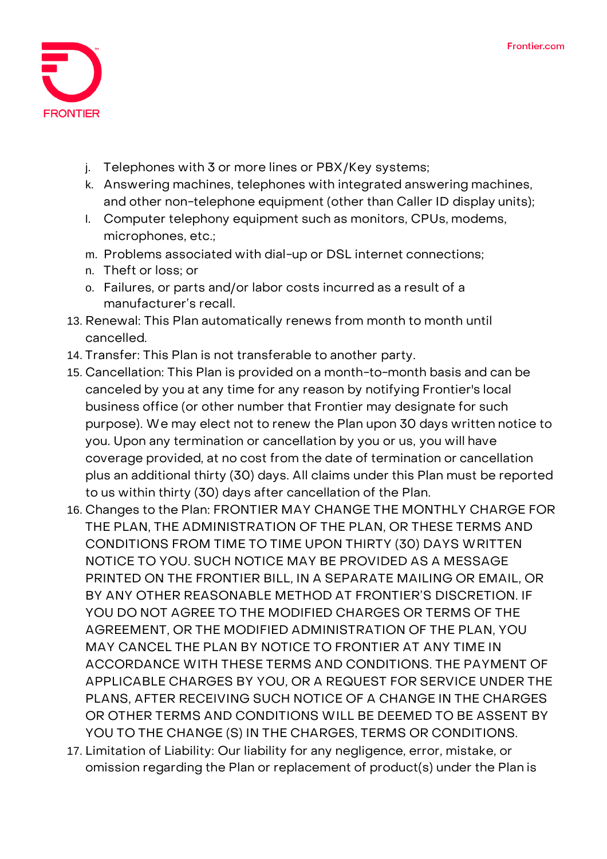

- j. Telephones with 3 or more lines or PBX/Key systems;
- k. Answering machines, telephones with integrated answering machines, and other non-telephone equipment (other than Caller ID display units);
- l. Computer telephony equipment such as monitors, CPUs, modems, microphones, etc.;
- m. Problems associated with dial-up or DSL internet connections;
- n. Theft or loss; or
- o. Failures, or parts and/or labor costs incurred as a result of a manufacturer's recall.
- 13. **Renewal:** This Plan automatically renews from month to month until cancelled.
- 14. **Transfer:** This Plan is not transferable to another party.
- 15. **Cancellation:** This Plan is provided on a month-to-month basis and can be canceled by you at any time for any reason by notifying Frontier's local business office (or other number that Frontier may designate for such purpose). We may elect not to renew the Plan upon 30 days written notice to you. Upon any termination or cancellation by you or us, you will have coverage provided, at no cost from the date of termination or cancellation plus an additional thirty (30) days. All claims under this Plan must be reported to us within thirty (30) days after cancellation of the Plan.
- 16. **Changes to the Plan:** FRONTIER MAY CHANGE THE MONTHLY CHARGE FOR THE PLAN, THE ADMINISTRATION OF THE PLAN, OR THESE TERMS AND CONDITIONS FROM TIME TO TIME UPON THIRTY (30) DAYS WRITTEN NOTICE TO YOU. SUCH NOTICE MAY BE PROVIDED AS A MESSAGE PRINTED ON THE FRONTIER BILL, IN A SEPARATE MAILING OR EMAIL, OR BY ANY OTHER REASONABLE METHOD AT FRONTIER'S DISCRETION. IF YOU DO NOT AGREE TO THE MODIFIED CHARGES OR TERMS OF THE AGREEMENT, OR THE MODIFIED ADMINISTRATION OF THE PLAN, YOU MAY CANCEL THE PLAN BY NOTICE TO FRONTIER AT ANY TIME IN ACCORDANCE WITH THESE TERMS AND CONDITIONS. THE PAYMENT OF APPLICABLE CHARGES BY YOU, OR A REQUEST FOR SERVICE UNDER THE PLANS, AFTER RECEIVING SUCH NOTICE OF A CHANGE IN THE CHARGES OR OTHER TERMS AND CONDITIONS WILL BE DEEMED TO BE ASSENT BY YOU TO THE CHANGE (S) IN THE CHARGES, TERMS OR CONDITIONS.
- 17. **Limitation of Liability:** Our liability for any negligence, error, mistake, or omission regarding the Plan or replacement of product(s) under the Plan is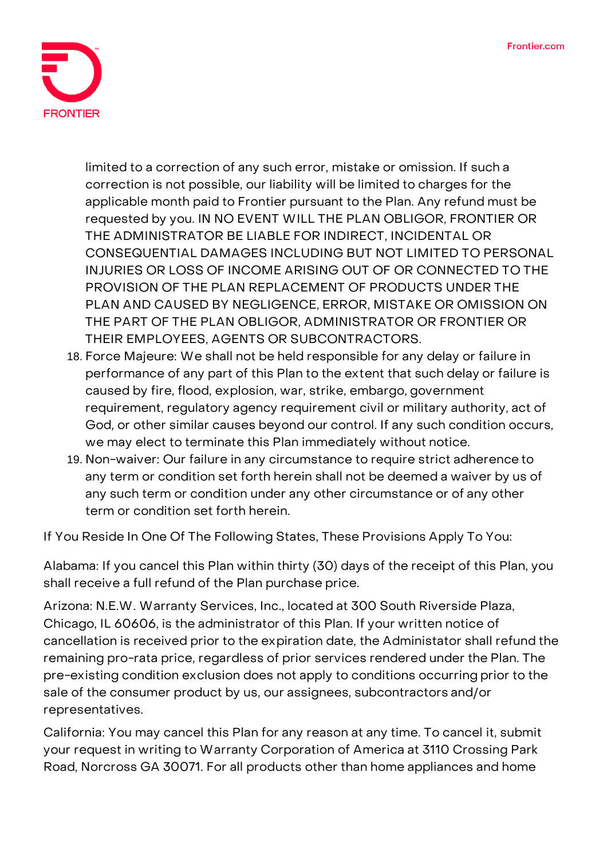

limited to a correction of any such error, mistake or omission. If such a correction is not possible, our liability will be limited to charges for the applicable month paid to Frontier pursuant to the Plan. Any refund must be requested by you. IN NO EVENT WILL THE PLAN OBLIGOR, FRONTIER OR THE ADMINISTRATOR BE LIABLE FOR INDIRECT, INCIDENTAL OR CONSEQUENTIAL DAMAGES INCLUDING BUT NOT LIMITED TO PERSONAL INJURIES OR LOSS OF INCOME ARISING OUT OF OR CONNECTED TO THE PROVISION OF THE PLAN REPLACEMENT OF PRODUCTS UNDER THE PLAN AND CAUSED BY NEGLIGENCE, ERROR, MISTAKE OR OMISSION ON THE PART OF THE PLAN OBLIGOR, ADMINISTRATOR OR FRONTIER OR THEIR EMPLOYEES, AGENTS OR SUBCONTRACTORS.

- 18. **Force Majeure:** We shall not be held responsible for any delay or failure in performance of any part of this Plan to the extent that such delay or failure is caused by fire, flood, explosion, war, strike, embargo, government requirement, regulatory agency requirement civil or military authority, act of God, or other similar causes beyond our control. If any such condition occurs, we may elect to terminate this Plan immediately without notice.
- 19. **Non-waiver:** Our failure in any circumstance to require strict adherence to any term or condition set forth herein shall not be deemed a waiver by us of any such term or condition under any other circumstance or of any other term or condition set forth herein.

**If You Reside In One Of The Following States, These Provisions Apply To You:**

**Alabama:** If you cancel this Plan within thirty (30) days of the receipt of this Plan, you shall receive a full refund of the Plan purchase price.

**Arizona:** N.E.W. Warranty Services, Inc., located at 300 South Riverside Plaza, Chicago, IL 60606, is the administrator of this Plan. If your written notice of cancellation is received prior to the expiration date, the Administator shall refund the remaining pro-rata price, regardless of prior services rendered under the Plan. The pre-existing condition exclusion does not apply to conditions occurring prior to the sale of the consumer product by us, our assignees, subcontractors and/or representatives.

**California:** You may cancel this Plan for any reason at any time. To cancel it, submit your request in writing to Warranty Corporation of America at 3110 Crossing Park Road, Norcross GA 30071. For all products other than home appliances and home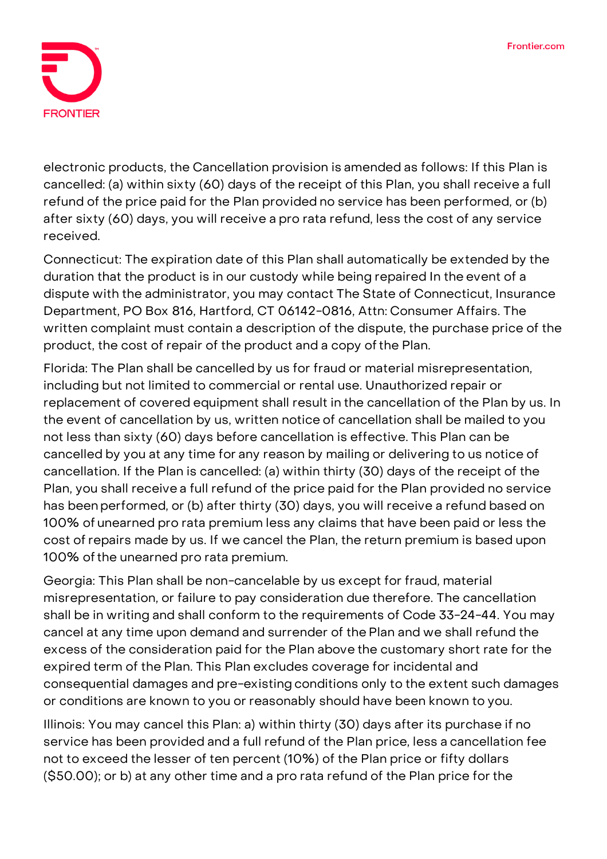

electronic products, the Cancellation provision is amended as follows: If this Plan is cancelled: (a) within sixty (60) days of the receipt of this Plan, you shall receive a full refund of the price paid for the Plan provided no service has been performed, or (b) after sixty (60) days, you will receive a pro rata refund, less the cost of any service received.

**Connecticut:** The expiration date of this Plan shall automatically be extended by the duration that the product is in our custody while being repaired In the event of a dispute with the administrator, you may contact The State of Connecticut, Insurance Department, PO Box 816, Hartford, CT 06142-0816, Attn: Consumer Affairs. The written complaint must contain a description of the dispute, the purchase price of the product, the cost of repair of the product and a copy of the Plan.

**Florida:** The Plan shall be cancelled by us for fraud or material misrepresentation, including but not limited to commercial or rental use. Unauthorized repair or replacement of covered equipment shall result in the cancellation of the Plan by us. In the event of cancellation by us, written notice of cancellation shall be mailed to you not less than sixty (60) days before cancellation is effective. This Plan can be cancelled by you at any time for any reason by mailing or delivering to us notice of cancellation. If the Plan is cancelled: (a) within thirty (30) days of the receipt of the Plan, you shall receive a full refund of the price paid for the Plan provided no service has beenperformed, or (b) after thirty (30) days, you will receive a refund based on 100% of unearned pro rata premium less any claims that have been paid or less the cost of repairs made by us. If we cancel the Plan, the return premium is based upon 100% ofthe unearned pro rata premium.

**Georgia:** This Plan shall be non-cancelable by us except for fraud, material misrepresentation, or failure to pay consideration due therefore. The cancellation shall be in writing and shall conform to the requirements of Code 33-24-44. You may cancel at any time upon demand and surrender of the Plan and we shall refund the excess of the consideration paid for the Plan above the customary short rate for the expired term of the Plan. This Plan excludes coverage for incidental and consequential damages and pre-existing conditions only to the extent such damages or conditions are known to you or reasonably should have been known to you.

**Illinois:** You may cancel this Plan: a) within thirty (30) days after its purchase if no service has been provided and a full refund of the Plan price, less a cancellation fee not to exceed the lesser of ten percent (10%) of the Plan price or fifty dollars (\$50.00); or b) at any other time and a pro rata refund of the Plan price for the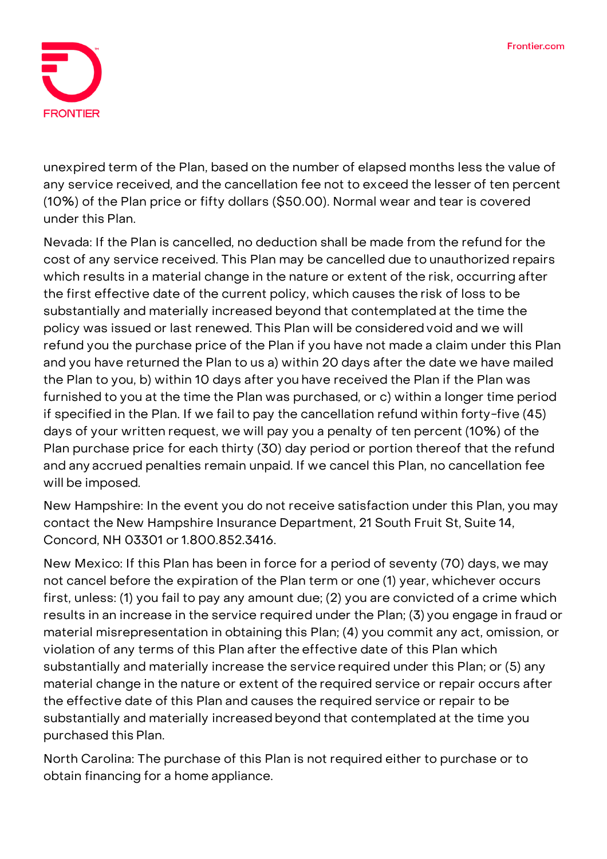

unexpired term of the Plan, based on the number of elapsed months less the value of any service received, and the cancellation fee not to exceed the lesser of ten percent (10%) of the Plan price or fifty dollars (\$50.00). Normal wear and tear is covered under this Plan.

**Nevada:** If the Plan is cancelled, no deduction shall be made from the refund for the cost of any service received. This Plan may be cancelled due to unauthorized repairs which results in a material change in the nature or extent of the risk, occurring after the first effective date of the current policy, which causes the risk of loss to be substantially and materially increased beyond that contemplated at the time the policy was issued or last renewed. This Plan will be considered void and we will refund you the purchase price of the Plan if you have not made a claim under this Plan and you have returned the Plan to us a) within 20 days after the date we have mailed the Plan to you, b) within 10 days after you have received the Plan if the Plan was furnished to you at the time the Plan was purchased, or c) within a longer time period if specified in the Plan. If we fail to pay the cancellation refund within forty-five (45) days of your written request, we will pay you a penalty of ten percent (10%) of the Plan purchase price for each thirty (30) day period or portion thereof that the refund and any accrued penalties remain unpaid. If we cancel this Plan, no cancellation fee will be imposed.

**New Hampshire:** In the event you do not receive satisfaction under this Plan, you may contact the New Hampshire Insurance Department, 21 South Fruit St, Suite 14, Concord, NH 03301 or 1.800.852.3416.

**New Mexico:** If this Plan has been in force for a period of seventy (70) days, we may not cancel before the expiration of the Plan term or one (1) year, whichever occurs first, unless: (1) you fail to pay any amount due; (2) you are convicted of a crime which results in an increase in the service required under the Plan; (3) you engage in fraud or material misrepresentation in obtaining this Plan; (4) you commit any act, omission, or violation of any terms of this Plan after the effective date of this Plan which substantially and materially increase the service required under this Plan; or (5) any material change in the nature or extent of the required service or repair occurs after the effective date of this Plan and causes the required service or repair to be substantially and materially increased beyond that contemplated at the time you purchased this Plan.

**North Carolina:** The purchase of this Plan is not required either to purchase or to obtain financing for a home appliance.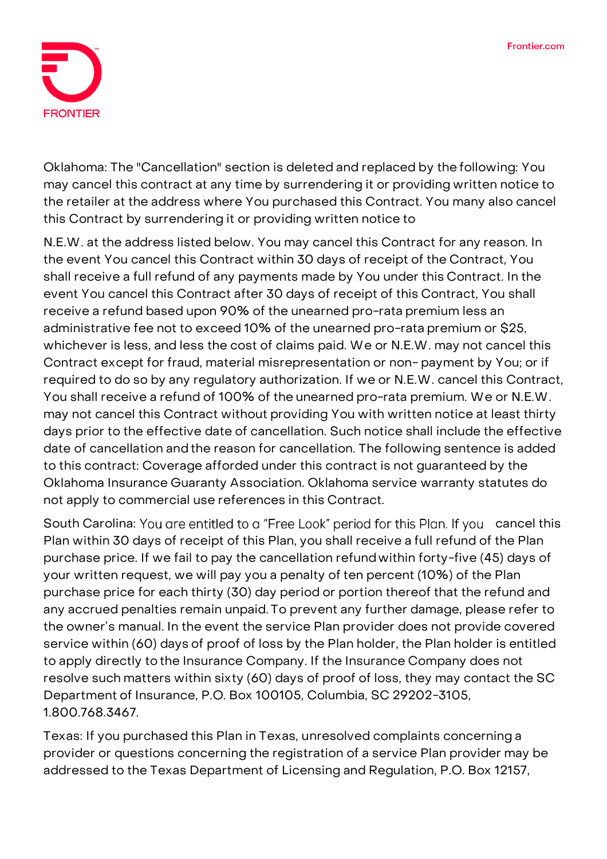

**Oklahoma:** The "Cancellation" section is deleted and replaced by the following: You may cancel this contract at any time by surrendering it or providing written notice to the retailer at the address where You purchased this Contract. You many also cancel this Contract by surrendering it or providing written notice to

N.E.W. at the address listed below. You may cancel this Contract for any reason. In the event You cancel this Contract within 30 days of receipt of the Contract, You shall receive a full refund of any payments made by You under this Contract. In the event You cancel this Contract after 30 days of receipt of this Contract, You shall receive a refund based upon 90% of the unearned pro-rata premium less an administrative fee not to exceed 10% of the unearned pro-rata premium or \$25, whichever is less, and less the cost of claims paid. We or N.E.W. may not cancel this Contract except for fraud, material misrepresentation or non- payment by You; or if required to do so by any regulatory authorization. If we or N.E.W. cancel this Contract, You shall receive a refund of 100% of the unearned pro-rata premium. We or N.E.W. may not cancel this Contract without providing You with written notice at least thirty days prior to the effective date of cancellation. Such notice shall include the effective date of cancellation and the reason for cancellation. The following sentence is added to this contract: Coverage afforded under this contract is not guaranteed by the Oklahoma Insurance Guaranty Association. Oklahoma service warranty statutes do not apply to commercial use references in this Contract.

South Carolina: You are entitled to a "Free Look" period for this Plan. If you cancel this Plan within 30 days of receipt of this Plan, you shall receive a full refund of the Plan purchase price. If we fail to pay the cancellation refund within forty-five (45) days of your written request, we will pay you a penalty of ten percent (10%) of the Plan purchase price for each thirty (30) day period or portion thereof that the refund and any accrued penalties remain unpaid. To prevent any further damage, please refer to the owner's manual. In the event the service Plan provider does not provide covered service within (60) days of proof of loss by the Plan holder, the Plan holder is entitled to apply directly tothe Insurance Company. If the Insurance Company does not resolve such matters within sixty (60) days of proof of loss, they may contact the SC Department of Insurance, P.O. Box 100105, Columbia, SC 29202-3105, 1.800.768.3467.

**Texas:** If you purchased this Plan in Texas, unresolved complaints concerning a provider or questions concerning the registration of a service Plan provider may be addressed to the Texas Department of Licensing and Regulation, P.O. Box 12157,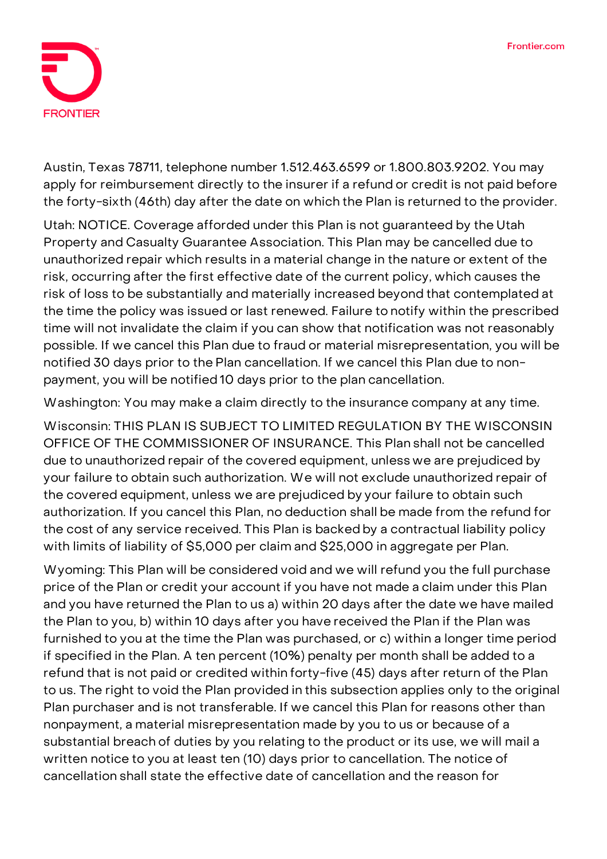

Austin, Texas 78711, telephone number 1.512.463.6599 or 1.800.803.9202. You may apply for reimbursement directly to the insurer if a refund or credit is not paid before the forty-sixth (46th) day after the date on which the Plan is returned to the provider.

**Utah: NOTICE.** Coverage afforded under this Plan is not guaranteed by the Utah Property and Casualty Guarantee Association. This Plan may be cancelled due to unauthorized repair which results in a material change in the nature or extent of the risk, occurring after the first effective date of the current policy, which causes the risk of loss to be substantially and materially increased beyond that contemplated at the time the policy was issued or last renewed. Failure to notify within the prescribed time will not invalidate the claim if you can show that notification was not reasonably possible. If we cancel this Plan due to fraud or material misrepresentation, you will be notified 30 days prior to the Plan cancellation. If we cancel this Plan due to nonpayment, you will be notified 10 days prior to the plan cancellation.

**Washington:** You may make a claim directly to the insurance company at any time.

**Wisconsin: THIS PLAN IS SUBJECT TO LIMITED REGULATION BY THE WISCONSIN OFFICE OF THE COMMISSIONER OF INSURANCE.** This Plan shall not be cancelled due to unauthorized repair of the covered equipment, unless we are prejudiced by your failure to obtain such authorization. We will not exclude unauthorized repair of the covered equipment, unless we are prejudiced by your failure to obtain such authorization. If you cancel this Plan, no deduction shall be made from the refund for the cost of any service received. This Plan is backed by a contractual liability policy with limits of liability of \$5,000 per claim and \$25,000 in aggregate per Plan.

**Wyoming:** This Plan will be considered void and we will refund you the full purchase price of the Plan or credit your account if you have not made a claim under this Plan and you have returned the Plan to us a) within 20 days after the date we have mailed the Plan to you, b) within 10 days after you have received the Plan if the Plan was furnished to you at the time the Plan was purchased, or c) within a longer time period if specified in the Plan. A ten percent (10%) penalty per month shall be added to a refund that is not paid or credited within forty-five (45) days after return of the Plan to us. The right to void the Plan provided in this subsection applies only to the original Plan purchaser and is not transferable. If we cancel this Plan for reasons other than nonpayment, a material misrepresentation made by you to us or because of a substantial breach of duties by you relating to the product or its use, we will mail a written notice to you at least ten (10) days prior to cancellation. The notice of cancellation shall state the effective date of cancellation and the reason for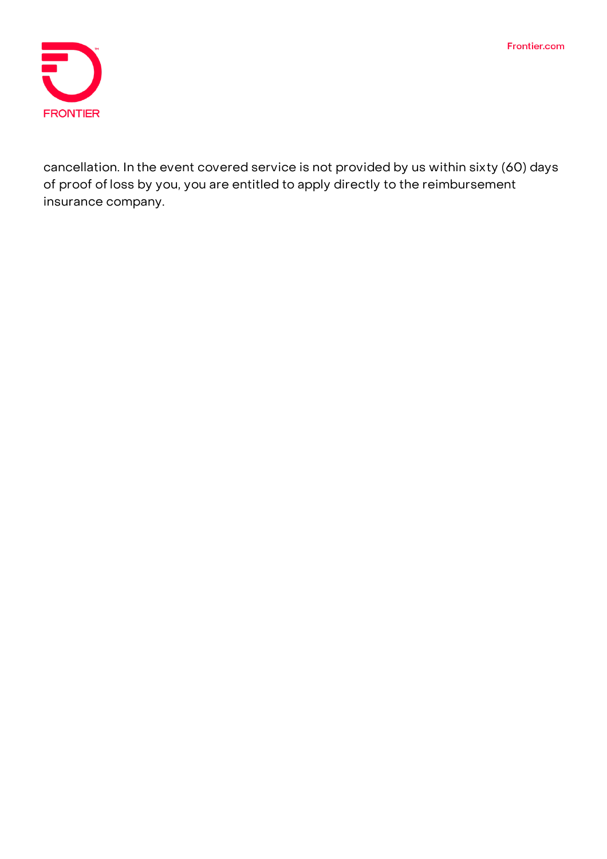Frontier.com



cancellation. In the event covered service is not provided by us within sixty (60) days of proof ofloss by you, you are entitled to apply directly to the reimbursement insurance company.